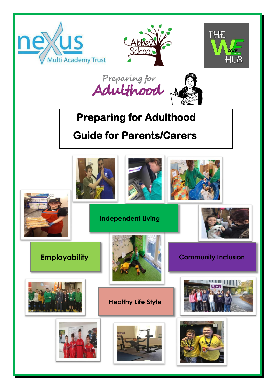





Preparing for<br>Adulthood



# **Preparing for Adulthood**

# **Guide for Parents/Carers**

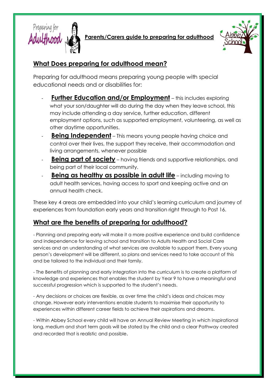

**Parents/Carers guide to preparing for adulthood**



## **What Does preparing for adulthood mean?**

Preparing for adulthood means preparing young people with special educational needs and or disabilities for:

- **Further Education and/or Employment** this includes exploring what your son/daughter will do during the day when they leave school, this may include attending a day service, further education, different employment options, such as supported employment, volunteering, as well as other daytime opportunities.
- **Being Independent** This means young people having choice and control over their lives, the support they receive, their accommodation and living arrangements, whenever possible
- **Being part of society** having friends and supportive relationships, and being part of their local community.
- **Being as healthy as possible in adult life** including moving to adult health services, having access to sport and keeping active and an annual health check.

These key 4 areas are embedded into your child's learning curriculum and journey of experiences from foundation early years and transition right through to Post 16.

## **What are the benefits of preparing for adulthood?**

- Planning and preparing early will make it a more positive experience and build confidence and independence for leaving school and transition to Adults Health and Social Care services and an understanding of what services are available to support them. Every young person's development will be different, so plans and services need to take account of this and be tailored to the individual and their family.

- The Benefits of planning and early integration into the curriculum is to create a platform of knowledge and experiences that enables the student by Year 9 to have a meaningful and successful progression which is supported to the student's needs.

- Any decisions or choices are flexible, as over time the child's ideas and choices may change. However early interventions enable students to maximise their opportunity to experiences within different career fields to achieve their aspirations and dreams.

- Within Abbey School every child will have an Annual Review Meeting in which inspirational long, medium and short term goals will be stated by the child and a clear Pathway created and recorded that is realistic and possible.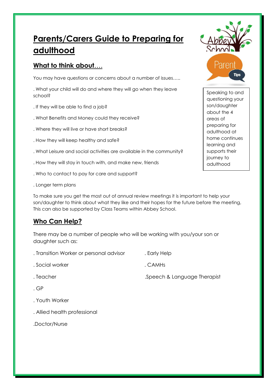# **Parents/Carers Guide to Preparing for adulthood**

#### **What to think about**….

You may have questions or concerns about a number of issues…..

. What your child will do and where they will go when they leave school?

- . If they will be able to find a job?
- . What Benefits and Money could they receive?
- . Where they will live or have short breaks?
- . How they will keep healthy and safe?
- . What Leisure and social activities are available in the community?
- . How they will stay in touch with, and make new, friends
- . Who to contact to pay for care and support?
- . Longer term plans

To make sure you get the most out of annual review meetings it is important to help your son/daughter to think about what they like and their hopes for the future before the meeting, This can also be supported by Class Teams within Abbey School.

#### **Who Can Help?**

There may be a number of people who will be working with you/your son or daughter such as:

- . Transition Worker or personal advisor . Early Help . Social worker . CAMHs . Teacher ... The Superson of the Speech & Language Therapist . GP . Youth Worker
- . Allied health professional
- .Doctor/Nurse



Speaking to and questioning your son/daughter about the 4 areas of preparing for adulthood at home continues learning and supports their journey to adulthood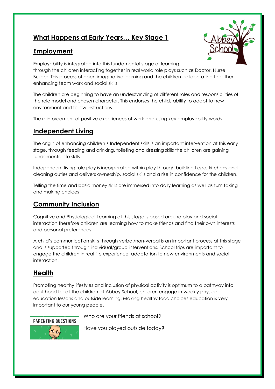## **What Happens at Early Years… Key Stage 1**

#### **Employment**



Employability is integrated into this fundamental stage of learning through the children interacting together in real world role plays such as Doctor, Nurse, Builder. This process of open imaginative learning and the children collaborating together enhancing team work and social skills.

The children are beginning to have an understanding of different roles and responsibilities of the role model and chosen character. This endorses the childs ability to adapt to new environment and follow instructions.

The reinforcement of positive experiences of work and using key employability words.

#### **Independent Living**

The origin of enhancing children's Independent skills is an important intervention at this early stage, through feeding and drinking, toileting and dressing skills the children are gaining fundamental life skills.

Independent living role play is incorporated within play through building Lego, kitchens and cleaning duties and delivers ownership, social skills and a rise in confidence for the children.

Telling the time and basic money skills are immersed into daily learning as well as turn taking and making choices

#### **Community Inclusion**

Cognitive and Physiological Learning at this stage is based around play and social interaction therefore children are learning how to make friends and find their own interests and personal preferences.

A child's communication skills through verbal/non-verbal is an important process at this stage and is supported through individual/group interventions. School trips are important to engage the children in real life experience, adaptation to new environments and social interaction.

#### **Health**

Promoting healthy lifestyles and inclusion of physical activity is optimum to a pathway into adulthood for all the children at Abbey School; children engage in weekly physical education lessons and outside learning. Making healthy food choices education is very important to our young people.

**PARENTING QUESTIONS** 

Who are your friends at school?

Have you played outside today?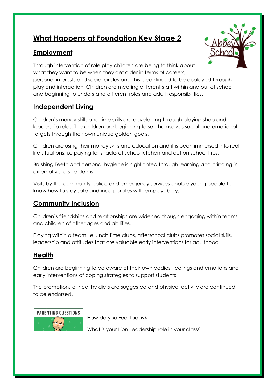# **What Happens at Foundation Key Stage 2**

## **Employment**



Through intervention of role play children are being to think about what they want to be when they get older in terms of careers,

personal interests and social circles and this is continued to be displayed through play and interaction. Children are meeting different staff within and out of school and beginning to understand different roles and adult responsibilities.

#### **Independent Living**

Children's money skills and time skills are developing through playing shop and leadership roles. The children are beginning to set themselves social and emotional targets through their own unique golden goals.

Children are using their money skills and education and it is been immersed into real life situations, i.e paying for snacks at school kitchen and out on school trips.

Brushing Teeth and personal hygiene is highlighted through learning and bringing in external visitors i.e dentist

Visits by the community police and emergency services enable young people to know how to stay safe and incorporates with employability.

## **Community Inclusion**

Children's friendships and relationships are widened though engaging within teams and children of other ages and abilities.

Playing within a team i.e lunch time clubs, afterschool clubs promotes social skills, leadership and attitudes that are valuable early interventions for adulthood

#### **Health**

Children are beginning to be aware of their own bodies, feelings and emotions and early interventions of coping strategies to support students.

The promotions of healthy diets are suggested and physical activity are continued to be endorsed.

PARENTING OUESTIONS



How do you Feel today?

What is your Lion Leadership role in your class?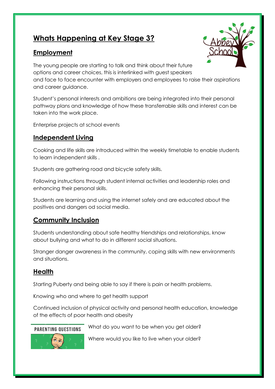# **Whats Happening at Key Stage 3?**

#### **Employment**



The young people are starting to talk and think about their future options and career choices, this is interlinked with guest speakers and face to face encounter with employers and employees to raise their aspirations and career guidance.

Student's personal interests and ambitions are being integrated into their personal pathway plans and knowledge of how these transferrable skills and interest can be taken into the work place.

Enterprise projects at school events

#### **Independent Living**

Cooking and life skills are introduced within the weekly timetable to enable students to learn independent skills .

Students are gathering road and bicycle safety skills.

Following instructions through student internal activities and leadership roles and enhancing their personal skills.

Students are learning and using the internet safely and are educated about the positives and dangers od social media.

## **Community Inclusion**

Students understanding about safe healthy friendships and relationships, know about bullying and what to do in different social situations.

Stranger danger awareness in the community, coping skills with new environments and situations.

#### **Health**

Starting Puberty and being able to say if there is pain or health problems.

Knowing who and where to get health support

Continued inclusion of physical activity and personal health education, knowledge of the effects of poor health and obesity

#### **PARENTING QUESTIONS**

What do you want to be when you get older?



Where would you like to live when your older?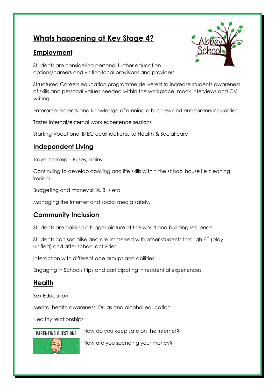## **Whats happening at Key Stage 4?**

#### **Employment**



Students are considering personal further education options/careers and visiting local provisions and providers

Structured Careers education programme delivered to increase students awareness of skills and personal values needed within the workplace, mock interviews and CV writing.

Enterprise projects and knowledge of running a business and entrepreneur qualities.

Taster internal/external work experience sessions

Starting Vocational BTEC qualifications..i.e Health & Social care

#### **Independent Living**

Travel training – Buses, Trains

Continuing to develop cooking and life skills within the school house i.e cleaning, ironing.

Budgeting and money skills, Bills etc

Managing the Internet and social media safely.

#### **Community Inclusion**

Students are gaining a bigger picture of the world and building resilience

Students can socialise and are immersed with other students through PE (play unified) and after school activities

Interaction with different age groups and abilities

Engaging in Schools trips and participating in residential experiences.

#### **Health**

Sex Education

Mental health awareness, Drugs and alcohol education

Healthy relationships

PARENTING OUESTIONS

How do you keep safe on the internet?



How are you spending your money?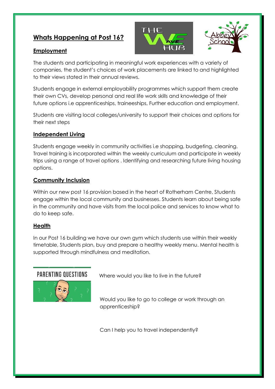## **Whats Happening at Post 16?**

#### **Employment**

THE



The students and participating in meaningful work experiences with a variety of companies, the student's choices of work placements are linked to and highlighted to their views stated in their annual reviews.

Students engage in external employability programmes which support them create their own CVs, develop personal and real life work skills and knowledge of their future options i.e apprenticeships, traineeships, Further education and employment.

Students are visiting local colleges/university to support their choices and options for their next steps

#### **Independent Living**

Students engage weekly in community activities i.e shopping, budgeting, cleaning. Travel training is incorporated within the weekly curriculum and participate in weekly trips using a range of travel options . Identifying and researching future living housing options.

#### **Community Inclusion**

Within our new post 16 provision based in the heart of Rotherham Centre, Students engage within the local community and businesses. Students learn about being safe in the community and have visits from the local police and services to know what to do to keep safe.

#### **Health**

In our Post 16 building we have our own gym which students use within their weekly timetable, Students plan, buy and prepare a healthy weekly menu. Mental health is supported through mindfulness and meditation.



Where would you like to live in the future?

Would you like to go to college or work through an apprenticeship?

Can I help you to travel independently?